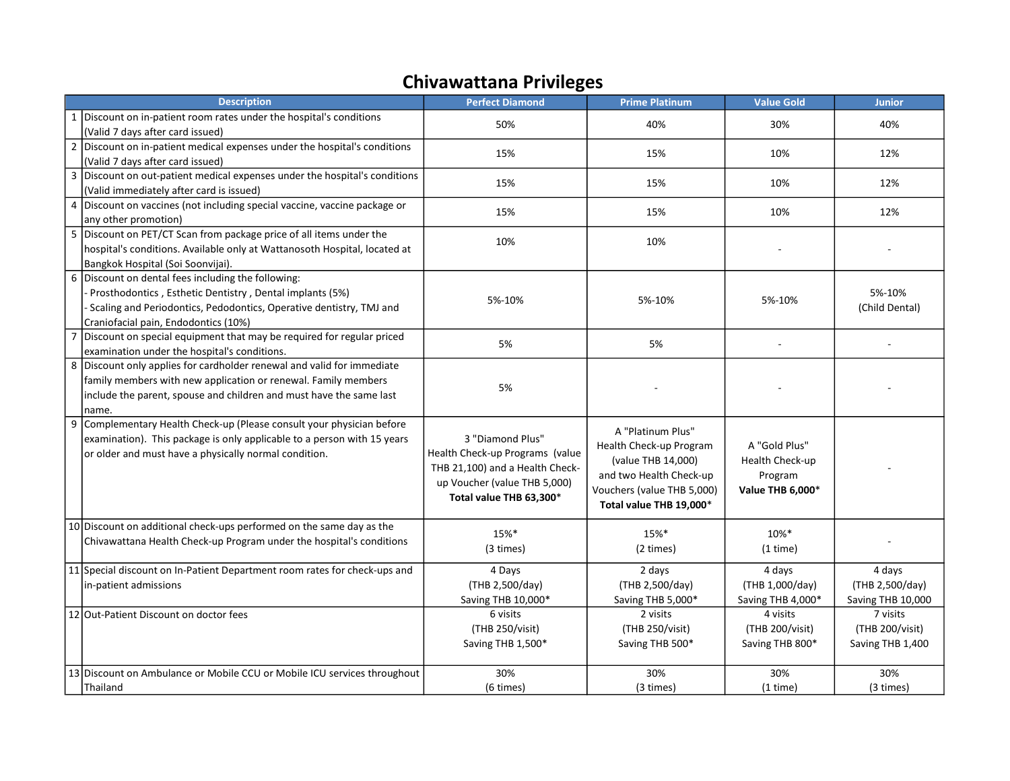## Chivawattana Privileges

|                | <b>Description</b>                                                                                                                                                                                                              | <b>Perfect Diamond</b>                                                                                                                            | <b>Prime Platinum</b>                                                                                                                                  | <b>Value Gold</b>                                               | <b>Junior</b>                                   |
|----------------|---------------------------------------------------------------------------------------------------------------------------------------------------------------------------------------------------------------------------------|---------------------------------------------------------------------------------------------------------------------------------------------------|--------------------------------------------------------------------------------------------------------------------------------------------------------|-----------------------------------------------------------------|-------------------------------------------------|
|                | 1 Discount on in-patient room rates under the hospital's conditions<br>(Valid 7 days after card issued)                                                                                                                         | 50%                                                                                                                                               | 40%                                                                                                                                                    | 30%                                                             | 40%                                             |
| $\overline{2}$ | Discount on in-patient medical expenses under the hospital's conditions<br>(Valid 7 days after card issued)                                                                                                                     | 15%                                                                                                                                               | 15%                                                                                                                                                    | 10%                                                             | 12%                                             |
| 3              | Discount on out-patient medical expenses under the hospital's conditions<br>(Valid immediately after card is issued)                                                                                                            | 15%                                                                                                                                               | 15%                                                                                                                                                    | 10%                                                             | 12%                                             |
|                | 4   Discount on vaccines (not including special vaccine, vaccine package or<br>any other promotion)                                                                                                                             | 15%                                                                                                                                               | 15%                                                                                                                                                    | 10%                                                             | 12%                                             |
|                | 5 Discount on PET/CT Scan from package price of all items under the<br>hospital's conditions. Available only at Wattanosoth Hospital, located at<br>Bangkok Hospital (Soi Soonvijai).                                           | 10%                                                                                                                                               | 10%                                                                                                                                                    |                                                                 |                                                 |
|                | 6 Discount on dental fees including the following:<br>Prosthodontics, Esthetic Dentistry, Dental implants (5%)<br>- Scaling and Periodontics, Pedodontics, Operative dentistry, TMJ and<br>Craniofacial pain, Endodontics (10%) | 5%-10%                                                                                                                                            | 5%-10%                                                                                                                                                 | 5%-10%                                                          | 5%-10%<br>(Child Dental)                        |
| 7              | Discount on special equipment that may be required for regular priced<br>examination under the hospital's conditions.                                                                                                           | 5%                                                                                                                                                | 5%                                                                                                                                                     |                                                                 |                                                 |
|                | 8 Discount only applies for cardholder renewal and valid for immediate<br>family members with new application or renewal. Family members<br>include the parent, spouse and children and must have the same last<br>name.        | 5%                                                                                                                                                |                                                                                                                                                        |                                                                 |                                                 |
| 9              | Complementary Health Check-up (Please consult your physician before<br>examination). This package is only applicable to a person with 15 years<br>or older and must have a physically normal condition.                         | 3 "Diamond Plus"<br>Health Check-up Programs (value<br>THB 21,100) and a Health Check-<br>up Voucher (value THB 5,000)<br>Total value THB 63,300* | A "Platinum Plus"<br>Health Check-up Program<br>(value THB 14,000)<br>and two Health Check-up<br>Vouchers (value THB 5,000)<br>Total value THB 19,000* | A "Gold Plus"<br>Health Check-up<br>Program<br>Value THB 6,000* |                                                 |
|                | 10 Discount on additional check-ups performed on the same day as the<br>Chivawattana Health Check-up Program under the hospital's conditions                                                                                    | 15%*<br>(3 times)                                                                                                                                 | 15%*<br>(2 times)                                                                                                                                      | 10%*<br>(1 time)                                                |                                                 |
|                | 11 Special discount on In-Patient Department room rates for check-ups and<br>in-patient admissions                                                                                                                              | 4 Days<br>(THB 2,500/day)<br>Saving THB 10,000*                                                                                                   | 2 days<br>(THB 2,500/day)<br>Saving THB 5,000*                                                                                                         | 4 days<br>(THB 1,000/day)<br>Saving THB 4,000*                  | 4 days<br>(THB 2,500/day)<br>Saving THB 10,000  |
|                | 12 Out-Patient Discount on doctor fees                                                                                                                                                                                          | 6 visits<br>(THB 250/visit)<br>Saving THB 1,500*                                                                                                  | 2 visits<br>(THB 250/visit)<br>Saving THB 500*                                                                                                         | 4 visits<br>(THB 200/visit)<br>Saving THB 800*                  | 7 visits<br>(THB 200/visit)<br>Saving THB 1,400 |
|                | 13 Discount on Ambulance or Mobile CCU or Mobile ICU services throughout<br>Thailand                                                                                                                                            | 30%<br>(6 times)                                                                                                                                  | 30%<br>(3 times)                                                                                                                                       | 30%<br>(1 time)                                                 | 30%<br>(3 times)                                |